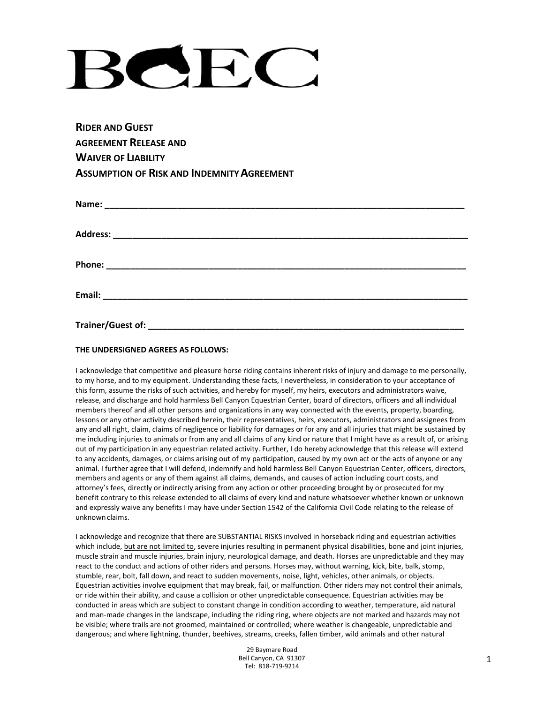# $H$  $\overline{\phantom{a}}$

**RIDER AND GUEST AGREEMENT RELEASE AND WAIVER OF LIABILITY ASSUMPTION OF RISK AND INDEMNITYAGREEMENT**

| Address:          |  |  |
|-------------------|--|--|
|                   |  |  |
| Email:            |  |  |
| Trainer/Guest of: |  |  |

## **THE UNDERSIGNED AGREES AS FOLLOWS:**

I acknowledge that competitive and pleasure horse riding contains inherent risks of injury and damage to me personally, to my horse, and to my equipment. Understanding these facts, I nevertheless, in consideration to your acceptance of this form, assume the risks of such activities, and hereby for myself, my heirs, executors and administrators waive, release, and discharge and hold harmless Bell Canyon Equestrian Center, board of directors, officers and all individual members thereof and all other persons and organizations in any way connected with the events, property, boarding, lessons or any other activity described herein, their representatives, heirs, executors, administrators and assignees from any and all right, claim, claims of negligence or liability for damages or for any and all injuries that might be sustained by me including injuries to animals or from any and all claims of any kind or nature that I might have as a result of, or arising out of my participation in any equestrian related activity. Further, I do hereby acknowledge that this release will extend to any accidents, damages, or claims arising out of my participation, caused by my own act or the acts of anyone or any animal. I further agree that I will defend, indemnify and hold harmless Bell Canyon Equestrian Center, officers, directors, members and agents or any of them against all claims, demands, and causes of action including court costs, and attorney's fees, directly or indirectly arising from any action or other proceeding brought by or prosecuted for my benefit contrary to this release extended to all claims of every kind and nature whatsoever whether known or unknown and expressly waive any benefits I may have under Section 1542 of the California Civil Code relating to the release of unknown claims.

I acknowledge and recognize that there are SUBSTANTIAL RISKS involved in horseback riding and equestrian activities which include, but are not limited to, severe injuries resulting in permanent physical disabilities, bone and joint injuries, muscle strain and muscle injuries, brain injury, neurological damage, and death. Horses are unpredictable and they may react to the conduct and actions of other riders and persons. Horses may, without warning, kick, bite, balk, stomp, stumble, rear, bolt, fall down, and react to sudden movements, noise, light, vehicles, other animals, or objects. Equestrian activities involve equipment that may break, fail, or malfunction. Other riders may not control their animals, or ride within their ability, and cause a collision or other unpredictable consequence. Equestrian activities may be conducted in areas which are subject to constant change in condition according to weather, temperature, aid natural and man-made changes in the landscape, including the riding ring, where objects are not marked and hazards may not be visible; where trails are not groomed, maintained or controlled; where weather is changeable, unpredictable and dangerous; and where lightning, thunder, beehives, streams, creeks, fallen timber, wild animals and other natural

> 29 Baymare Road Bell Canyon, CA 91307 Tel: 818-719-9214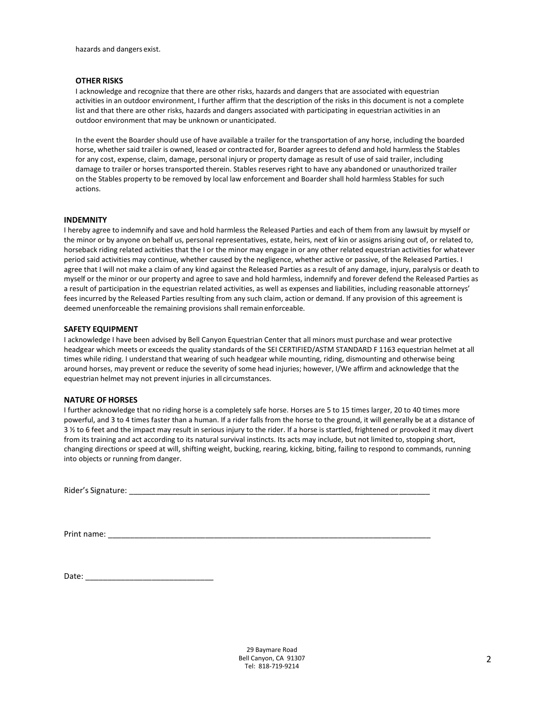hazards and dangers exist.

#### **OTHER RISKS**

I acknowledge and recognize that there are other risks, hazards and dangers that are associated with equestrian activities in an outdoor environment, I further affirm that the description of the risks in this document is not a complete list and that there are other risks, hazards and dangers associated with participating in equestrian activities in an outdoor environment that may be unknown or unanticipated.

In the event the Boarder should use of have available a trailer for the transportation of any horse, including the boarded horse, whether said trailer is owned, leased or contracted for, Boarder agrees to defend and hold harmless the Stables for any cost, expense, claim, damage, personal injury or property damage as result of use of said trailer, including damage to trailer or horses transported therein. Stables reserves right to have any abandoned or unauthorized trailer on the Stables property to be removed by local law enforcement and Boarder shall hold harmless Stables for such actions.

#### **INDEMNITY**

I hereby agree to indemnify and save and hold harmless the Released Parties and each of them from any lawsuit by myself or the minor or by anyone on behalf us, personal representatives, estate, heirs, next of kin or assigns arising out of, or related to, horseback riding related activities that the I or the minor may engage in or any other related equestrian activities for whatever period said activities may continue, whether caused by the negligence, whether active or passive, of the Released Parties. I agree that I will not make a claim of any kind against the Released Parties as a result of any damage, injury, paralysis or death to myself or the minor or our property and agree to save and hold harmless, indemnify and forever defend the Released Parties as a result of participation in the equestrian related activities, as well as expenses and liabilities, including reasonable attorneys' fees incurred by the Released Parties resulting from any such claim, action or demand. If any provision of this agreement is deemed unenforceable the remaining provisions shall remainenforceable.

#### **SAFETY EQUIPMENT**

I acknowledge I have been advised by Bell Canyon Equestrian Center that all minors must purchase and wear protective headgear which meets or exceeds the quality standards of the SEI CERTIFIED/ASTM STANDARD F 1163 equestrian helmet at all times while riding. I understand that wearing of such headgear while mounting, riding, dismounting and otherwise being around horses, may prevent or reduce the severity of some head injuries; however, I/We affirm and acknowledge that the equestrian helmet may not prevent injuries in all circumstances.

#### **NATURE OF HORSES**

I further acknowledge that no riding horse is a completely safe horse. Horses are 5 to 15 times larger, 20 to 40 times more powerful, and 3 to 4 times faster than a human. If a rider falls from the horse to the ground, it will generally be at a distance of 3 ½ to 6 feet and the impact may result in serious injury to the rider. If a horse is startled, frightened or provoked it may divert from its training and act according to its natural survival instincts. Its acts may include, but not limited to, stopping short, changing directions or speed at will, shifting weight, bucking, rearing, kicking, biting, failing to respond to commands, running into objects or running from danger.

Rider's Signature: \_\_\_\_\_\_\_\_\_\_\_\_\_\_\_\_\_\_\_\_\_\_\_\_\_\_\_\_\_\_\_\_\_\_\_\_\_\_\_\_\_\_\_\_\_\_\_\_\_\_\_\_\_\_\_\_\_\_\_\_\_\_\_\_\_\_\_\_

Print name:

Date: \_\_\_\_\_\_\_\_\_\_\_\_\_\_\_\_\_\_\_\_\_\_\_\_\_\_\_\_\_